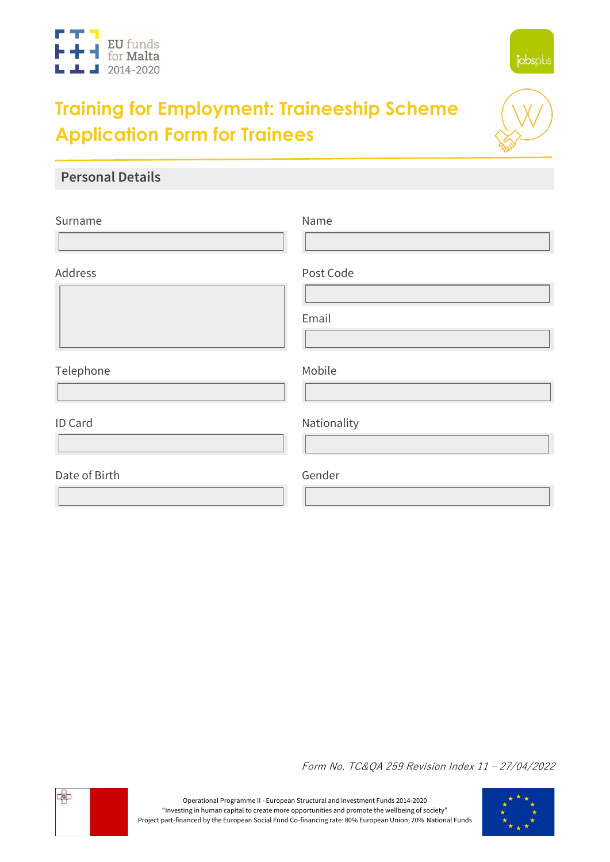



# **Training for Employment: Traineeship Scheme Application Form for Trainees**



### **Personal Details**

| Surname       | Name               |
|---------------|--------------------|
| Address       | Post Code<br>Email |
| Telephone     | Mobile             |
| ID Card       | Nationality        |
| Date of Birth | Gender             |

Form No. TC&QA 259 Revision Index 11 – 27/04/2022



Operational Programme II - European Structural and Investment Funds 2014-2020 "Investing in human capital to create more opportunities and promote the wellbeing of society" Project part-financed by the European Social Fund Co-financing rate: 80% European Union; 20% National Funds

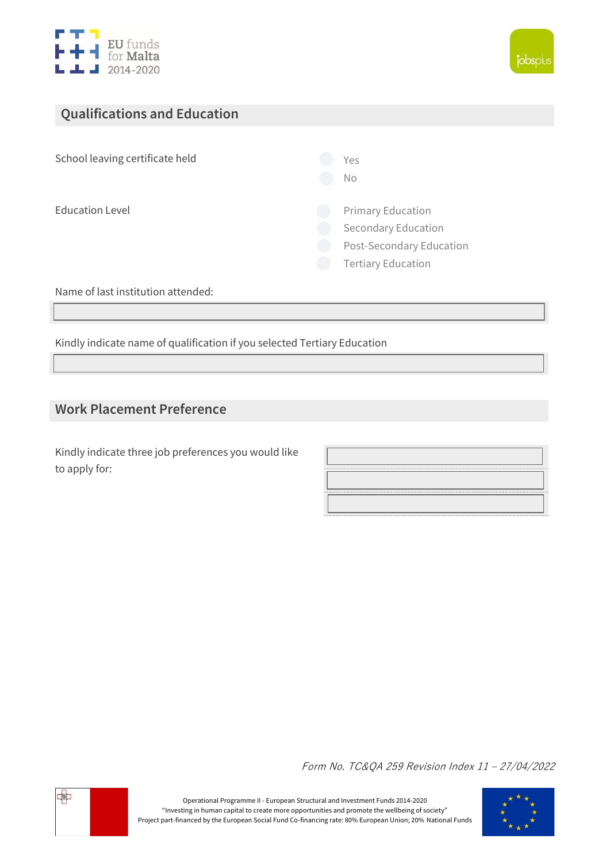



# **Qualifications and Education**

School leaving certificate held  $\bigcirc$  Yes

No

 $\bigcirc$  Education Level  $\bigcirc$  Primary Education

O Secondary Education

O Post-Secondary Education

Tertiary Education  $\bigcap$ 

Name of last institution attended:

Kindly indicate name of qualification if you selected Tertiary Education

#### **Work Placement Preference**

Kindly indicate three job preferences you would like to apply for:

Form No. TC&QA 259 Revision Index 11 – 27/04/2022



Operational Programme II - European Structural and Investment Funds 2014-2020 "Investing in human capital to create more opportunities and promote the wellbeing of society" Project part-financed by the European Social Fund Co-financing rate: 80% European Union; 20% National Funds